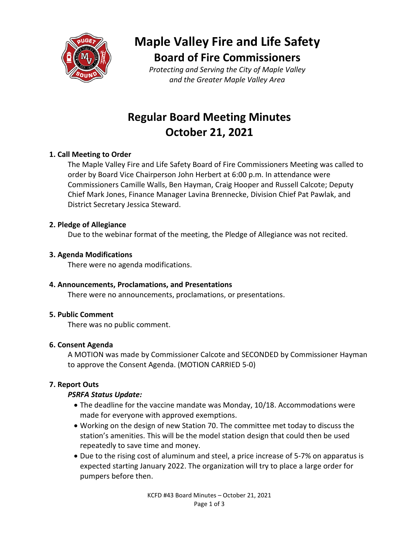

# **Maple Valley Fire and Life Safety Board of Fire Commissioners**

*Protecting and Serving the City of Maple Valley and the Greater Maple Valley Area*

# **Regular Board Meeting Minutes October 21, 2021**

# **1. Call Meeting to Order**

The Maple Valley Fire and Life Safety Board of Fire Commissioners Meeting was called to order by Board Vice Chairperson John Herbert at 6:00 p.m. In attendance were Commissioners Camille Walls, Ben Hayman, Craig Hooper and Russell Calcote; Deputy Chief Mark Jones, Finance Manager Lavina Brennecke, Division Chief Pat Pawlak, and District Secretary Jessica Steward.

## **2. Pledge of Allegiance**

Due to the webinar format of the meeting, the Pledge of Allegiance was not recited.

## **3. Agenda Modifications**

There were no agenda modifications.

## **4. Announcements, Proclamations, and Presentations**

There were no announcements, proclamations, or presentations.

## **5. Public Comment**

There was no public comment.

## **6. Consent Agenda**

A MOTION was made by Commissioner Calcote and SECONDED by Commissioner Hayman to approve the Consent Agenda. (MOTION CARRIED 5-0)

## **7. Report Outs**

## *PSRFA Status Update:*

- The deadline for the vaccine mandate was Monday, 10/18. Accommodations were made for everyone with approved exemptions.
- Working on the design of new Station 70. The committee met today to discuss the station's amenities. This will be the model station design that could then be used repeatedly to save time and money.
- Due to the rising cost of aluminum and steel, a price increase of 5-7% on apparatus is expected starting January 2022. The organization will try to place a large order for pumpers before then.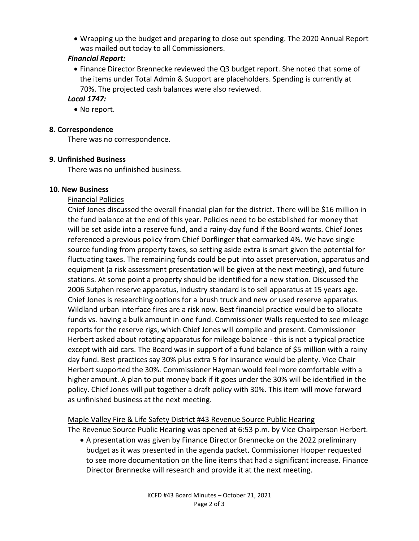• Wrapping up the budget and preparing to close out spending. The 2020 Annual Report was mailed out today to all Commissioners.

## *Financial Report:*

• Finance Director Brennecke reviewed the Q3 budget report. She noted that some of the items under Total Admin & Support are placeholders. Spending is currently at 70%. The projected cash balances were also reviewed.

# *Local 1747:*

• No report.

## **8. Correspondence**

There was no correspondence.

## **9. Unfinished Business**

There was no unfinished business.

## **10. New Business**

## Financial Policies

Chief Jones discussed the overall financial plan for the district. There will be \$16 million in the fund balance at the end of this year. Policies need to be established for money that will be set aside into a reserve fund, and a rainy-day fund if the Board wants. Chief Jones referenced a previous policy from Chief Dorflinger that earmarked 4%. We have single source funding from property taxes, so setting aside extra is smart given the potential for fluctuating taxes. The remaining funds could be put into asset preservation, apparatus and equipment (a risk assessment presentation will be given at the next meeting), and future stations. At some point a property should be identified for a new station. Discussed the 2006 Sutphen reserve apparatus, industry standard is to sell apparatus at 15 years age. Chief Jones is researching options for a brush truck and new or used reserve apparatus. Wildland urban interface fires are a risk now. Best financial practice would be to allocate funds vs. having a bulk amount in one fund. Commissioner Walls requested to see mileage reports for the reserve rigs, which Chief Jones will compile and present. Commissioner Herbert asked about rotating apparatus for mileage balance - this is not a typical practice except with aid cars. The Board was in support of a fund balance of \$5 million with a rainy day fund. Best practices say 30% plus extra 5 for insurance would be plenty. Vice Chair Herbert supported the 30%. Commissioner Hayman would feel more comfortable with a higher amount. A plan to put money back if it goes under the 30% will be identified in the policy. Chief Jones will put together a draft policy with 30%. This item will move forward as unfinished business at the next meeting.

### Maple Valley Fire & Life Safety District #43 Revenue Source Public Hearing The Revenue Source Public Hearing was opened at 6:53 p.m. by Vice Chairperson Herbert.

• A presentation was given by Finance Director Brennecke on the 2022 preliminary budget as it was presented in the agenda packet. Commissioner Hooper requested to see more documentation on the line items that had a significant increase. Finance Director Brennecke will research and provide it at the next meeting.